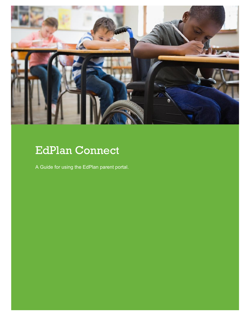

## EdPlan Connect

A Guide for using the EdPlan parent portal.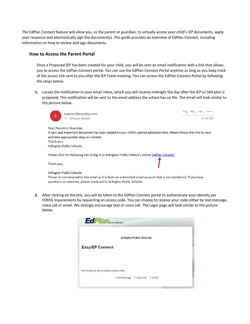The EdPlan Connect feature will allow you, as the parent or guardian, to virtually access your child's IEP documents, apply your response and electronically sign the document(s). This guide provides an overview of EdPlan Connect, including information on how to review and sign documents.

## **How to Access the Parent Portal**

Once a Proposed IEP has been created for your child, you will be sent an email notification with a link that allows you to access the EdPlan Connect portal. You can use the EdPlan Connect Portal anytime as long as you keep track of the access link sent to you after the IEP Team meeting. You can access the EdPlan Connect Portal by following the steps below:

**1.** Locate the notification in your email inbox, which you will receive midnight the day after the IEP or 504 plan is proposed. This notification will be sent to the email address the school has on file. The email will look similar to the picture below.



**2.** After clicking on the link, you will be taken to the EdPlan Connect portal to authenticate your identity per FERPA requirements by requesting an access code. You can choose to receive your code either by text message, voice call or email. We strongly encourage text or voice call. The Login page will look similar to the picture below.

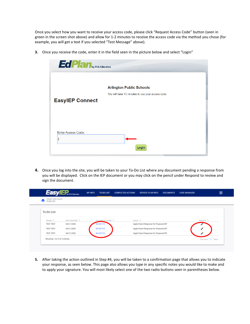Once you select how you want to receive your access code, please click "Request Access Code" button (seen in green in the screen shot above) and allow for 1-2 minutes to receive the access code via the method you chose (for example, you will get a text if you selected "Test Message" above).

**3.** Once you receive the code, enter it in the field seen in the picture below and select "Login"

|                           | <b>EdPlan</b> <sub>by PCG Education</sub>         |  |  |  |
|---------------------------|---------------------------------------------------|--|--|--|
|                           |                                                   |  |  |  |
|                           | <b>Arlington Public Schools</b>                   |  |  |  |
|                           | You will have 15 minutes to use your access code. |  |  |  |
| <b>EasylEP Connect</b>    |                                                   |  |  |  |
|                           |                                                   |  |  |  |
|                           |                                                   |  |  |  |
|                           |                                                   |  |  |  |
| <b>Enter Access Code:</b> |                                                   |  |  |  |
|                           |                                                   |  |  |  |
|                           | Login                                             |  |  |  |
|                           |                                                   |  |  |  |

**4.** Once you log into the site, you will be taken to your To-Do List where any document pending a response from you will be displayed. Click on the IEP document or you may click on the pencil under Respond to review and sign the document.

| Arlington Public Schools<br>TO-DO LIST<br>m |                           |                                |                                        |  |                    |
|---------------------------------------------|---------------------------|--------------------------------|----------------------------------------|--|--------------------|
| <b>To-Do List</b>                           |                           |                                |                                        |  |                    |
| Student $\mathbb{I}_{\downarrow}$           | Date Submitted $\uparrow$ | Proposed Document <sup>1</sup> | Action $\mathbb{I}_{\downarrow}$       |  | Respond $\uparrow$ |
| <b>TEST TEST</b>                            | 04/21/2020                | MA-IEP (FI)                    | Apply Parent Response for Proposed IEP |  |                    |
| <b>TEST TEST</b>                            | 04/21/2020                | MA-IEP (FI)                    | Apply Parent Response for Proposed IEP |  |                    |
| <b>TEST TEST</b>                            | 04/21/2020                | MA-IEP (FI)                    | Apply Parent Response for Proposed IEP |  |                    |
| Showing 1 to 3 of 3 entries                 |                           |                                |                                        |  | 1 Next<br>Previous |

**5.** After taking the action outlined in Step #4, you will be taken to a confirmation page that allows you to indicate your response, as seen below. This page also allows you type in any specific notes you would like to make and to apply your signature. You will most likely select one of the two radio buttons seen in parentheses below.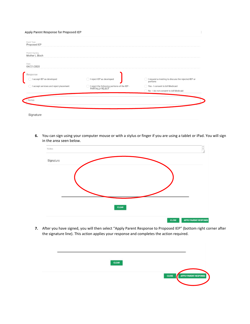| Event Type<br>Proposed IEP             |                                                                  |                                                                |
|----------------------------------------|------------------------------------------------------------------|----------------------------------------------------------------|
| Parent Signing<br>Mother L Bloch       |                                                                  |                                                                |
| Date<br>04/21/2020                     |                                                                  |                                                                |
| Response                               |                                                                  |                                                                |
| I accept IEP as developed              | I reject IEP as developed                                        | I request a meeting to discuss the rejected IEP or<br>portions |
| I accept services and reject placement | I reject the following portions of the IEP -<br>PARTIALLY REJECT | Yes - I consent to bill Medicaid                               |
|                                        |                                                                  | No-I do not consent to bill Medicaid                           |

**6.** You can sign using your computer mouse or with a stylus or finger if you are using a tablet or iPad. You will sign in the area seen below.



**7.** After you have signed, you will then select "Apply Parent Response to Proposed IEP" (bottom right corner after the signature line). This action applies your response and completes the action required.

| <b>CLEAR</b> |                       |
|--------------|-----------------------|
|              |                       |
| CLOSE<br>л   | APPLY PARENT RESPONSE |
|              |                       |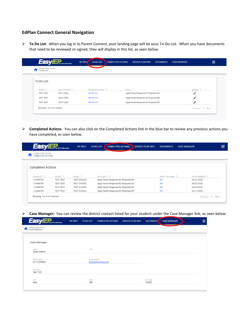## **EdPlan Connect General Navigation**

➢ **To Do List**: When you log in to Parent Connect, your landing page will be your To-Do List. When you have documents that need to be reviewed or signed, they will display in this list, as seen below.

| Arlington Public Schools<br>TO-DO LIST<br>П |                             |                                |                                        |                    |
|---------------------------------------------|-----------------------------|--------------------------------|----------------------------------------|--------------------|
| <b>To-Do List</b>                           |                             |                                |                                        |                    |
| Student $\uparrow$                          | Date Submitted <sup>1</sup> | Proposed Document <sup>1</sup> | Action $\mathbb{I}$                    | Respond $\uparrow$ |
| <b>TEST TEST</b>                            | 04/21/2020                  | MA-IEP (FI)                    | Apply Parent Response for Proposed IEP | ▵                  |
| <b>TEST TEST</b>                            | 04/21/2020                  | MA-IEP (FI)                    | Apply Parent Response for Proposed IEP | ◢                  |
| <b>TEST TEST</b>                            | 04/21/2020                  | MA-IEP (FI)                    | Apply Parent Response for Proposed IEP | $\mathcal{L}$      |
| Showing 1 to 3 of 3 entries                 |                             |                                |                                        | Previous<br>1 Next |

➢ **Completed Actions**: You can also click on the Completed Actions link in the blue bar to review any previous actions you have completed, as seen below.

| Arlington Public Schools<br><b>COMPLETED ACTIONS</b> |                     |                     |                                        |                              |                                 |
|------------------------------------------------------|---------------------|---------------------|----------------------------------------|------------------------------|---------------------------------|
| <b>Completed Actions</b>                             |                     |                     |                                        |                              |                                 |
| Student ID <sup>T</sup>                              | Student $T_{\perp}$ | School $\mathbb{1}$ | Description $T_{\perp}$                | Event / Document $T_{\perp}$ | Date Completed $T_{\downarrow}$ |
| 123456789                                            | <b>TEST TEST</b>    | <b>TEST SCHOOL</b>  | Apply Parent Response for Proposed IEP | <b>IEP</b>                   | 04/21/2020                      |
| 123456789                                            | <b>TEST TEST</b>    | <b>TEST SCHOOL</b>  | Apply Parent Response for Proposed IEP | <b>IEP</b>                   | 04/21/2020                      |
| 123456789                                            | <b>TEST TEST</b>    | <b>TEST SCHOOL</b>  | Apply Parent Response for Proposed IEP | <b>IEP</b>                   | 04/20/2020                      |
| 123456789                                            | <b>TEST TEST</b>    | <b>TEST SCHOOL</b>  | Apply Parent Response for Proposed IEP | <b>IEP</b>                   | 04/17/2020                      |

➢ **Case Manager:** You can review the district contact listed for your student under the Case Manager link, as seen below.

|   | <b>EasylEP</b> <sub>y</sub> PCS Education       | <b>MY INFO</b> | <b>TO-DO LIST</b>    | <b>COMPLETED ACTIONS</b> | <b>SERVICE PLAN INFO</b> | <b>DOCUMENTS</b>  | <b>CASE MANAGER</b> | $\mathbf{E}$ |
|---|-------------------------------------------------|----------------|----------------------|--------------------------|--------------------------|-------------------|---------------------|--------------|
| π | Arlington Public Schools<br><b>CASE MANAGER</b> |                |                      |                          |                          |                   |                     |              |
|   |                                                 |                |                      |                          |                          |                   |                     |              |
|   | <b>Case Manager</b>                             |                |                      |                          |                          |                   |                     |              |
|   | Name<br><b>Sped Admin</b>                       |                | Title                |                          |                          |                   |                     |              |
|   | <b>Work Phone</b><br>6171234567                 |                | <b>Email Address</b> | jbloch@pcgus.com         |                          |                   |                     |              |
|   | Address<br>test 123                             |                |                      |                          |                          |                   |                     |              |
|   | City<br>test                                    |                | State<br><b>MA</b>   |                          |                          | Zip Code<br>12345 |                     |              |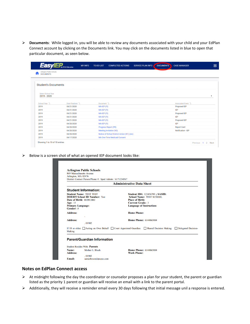➢ **Documents**: While logged in, you will be able to review any documents associated with your child and your EdPlan Connect account by clicking on the Documents link. You may click on the documents listed in blue to open that particular document, as seen below.

|                                              | <b>MY INFO</b><br>by PCG Education | <b>TO-DO LIST</b><br><b>COMPLETED ACTIONS</b> | <b>SERVICE PLAN INFO</b> | <b>DOCUMENTS</b> | <b>CASE MANAGER</b>           |  |
|----------------------------------------------|------------------------------------|-----------------------------------------------|--------------------------|------------------|-------------------------------|--|
| Arlington Public Schools<br><b>DOCUMENTS</b> |                                    |                                               |                          |                  |                               |  |
| <b>Student's Documents</b>                   |                                    |                                               |                          |                  |                               |  |
| Select School Year<br>2019 - 2020            |                                    |                                               |                          |                  |                               |  |
| School Year <sup>1</sup>                     | Date Finalized <sup>1</sup>        | Document <sup>1</sup>                         |                          |                  | Associated Event <sup>1</sup> |  |
| 2019                                         | 04/21/2020                         | MA-IEP (FI)                                   |                          |                  | Proposed IEP                  |  |
| 2019                                         | 04/21/2020                         | MA-IEP (FI)                                   |                          |                  | IEP                           |  |
| 2019                                         | 04/21/2020                         | MA-IEP (FI)                                   |                          |                  | Proposed IEP                  |  |
| 2019                                         | 04/21/2020                         | MA-IEP (FI)                                   |                          |                  | <b>IEP</b>                    |  |
| 2019                                         | 04/21/2020                         | MA-IEP (FI)                                   |                          |                  | Proposed IEP                  |  |
| 2019                                         | 04/20/2020                         | MA-IEP (FI)                                   |                          |                  | <b>IEP</b>                    |  |
| 2019                                         | 04/20/2020                         | Progress Report (PR)                          |                          |                  | <b>Report Card</b>            |  |
| 2019                                         | 04/20/2020                         | <b>Meeting Invitation (N3)</b>                |                          |                  | Notification - IEP            |  |
| 2019                                         | 04/20/2020                         | Notice of School District Action (N1) (rev)   |                          |                  |                               |  |
| 2019                                         | 04/17/2020                         | <b>MA One-Time Medicaid Consent</b>           |                          |                  |                               |  |

➢ Below is a screen shot of what an opened IEP document looks like:

|                                     |                                      | <b>Administrative Data Sheet</b>                                                                                                     |                                                   |  |  |  |  |
|-------------------------------------|--------------------------------------|--------------------------------------------------------------------------------------------------------------------------------------|---------------------------------------------------|--|--|--|--|
|                                     | <b>Student Information:</b>          |                                                                                                                                      |                                                   |  |  |  |  |
|                                     | <b>Student Name: TEST TEST</b>       |                                                                                                                                      | <b>Student ID#: 123456789 : SASID:</b>            |  |  |  |  |
|                                     | <b>DOE015 School ID Number: Test</b> |                                                                                                                                      | <b>School Name: TEST SCHOOL</b>                   |  |  |  |  |
|                                     | <b>Date of Birth: 08/09/2002</b>     |                                                                                                                                      | <b>Place of Birth:</b><br><b>Current Grade: 3</b> |  |  |  |  |
| Age: 15<br><b>Primary Language:</b> |                                      |                                                                                                                                      | <b>Language of Instruction:</b>                   |  |  |  |  |
| Gender: F                           |                                      |                                                                                                                                      |                                                   |  |  |  |  |
| <b>Address:</b>                     |                                      | <b>Home Phone:</b>                                                                                                                   |                                                   |  |  |  |  |
| <b>Address:</b>                     | ٠                                    |                                                                                                                                      | <b>Home Phone: 6144063884</b>                     |  |  |  |  |
|                                     | , 01902                              |                                                                                                                                      |                                                   |  |  |  |  |
| <b>Making</b>                       |                                      | If 18 or older: $\Box$ Acting on Own Behalf $\Box$ Court Appointed Guardian $\Box$ Shared Decision Making $\Box$ Delegated Decision- |                                                   |  |  |  |  |
|                                     | <b>Parent/Guardian Information</b>   |                                                                                                                                      |                                                   |  |  |  |  |

## **Notes on EdPlan Connect access**

- ➢ At midnight following the day the coordinator or counselor proposes a plan for your student, the parent or guardian listed as the priority 1 parent or guardian will receive an email with a link to the parent portal.
- ➢ Additionally, they will receive a reminder email every 30 days following that initial message unil a response is entered.